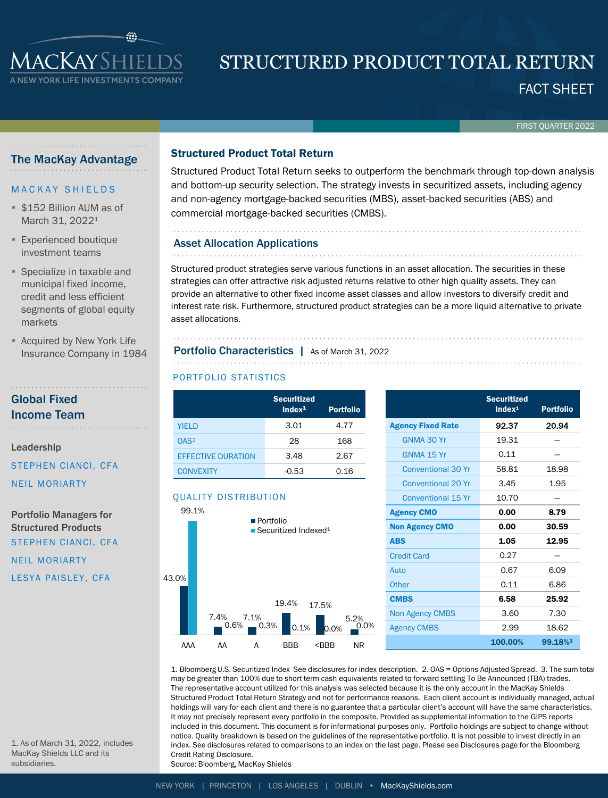

# FACT SHEET STRUCTURED PRODUCT TOTAL RETURN

FIRST QUARTER 2022

# The MacKay Advantage

## **MACKAY SHIELDS**

- **\$152 Billion AUM as of** March 31, 2022<sup>1</sup>
- **Experienced boutique** investment teams
- Specialize in taxable and municipal fixed income, credit and less efficient segments of global equity markets
- **E** Acquired by New York Life Insurance Company in 1984

# Global Fixed Income Team

Leadership

STEPHEN CIANCI, CFA

NEIL MORIARTY

Portfolio Managers for Structured Products STEPHEN CIANCI, CFA

NEIL MORIARTY LESYA PAISLEY, CFA

1. As of March 31, 2022, includes MacKay Shields LLC and its

subsidiaries.

# Structured Product Total Return

Structured Product Total Return seeks to outperform the benchmark through top-down analysis and bottom-up security selection. The strategy invests in securitized assets, including agency and non-agency mortgage-backed securities (MBS), asset-backed securities (ABS) and commercial mortgage-backed securities (CMBS).

# Asset Allocation Applications

Structured product strategies serve various functions in an asset allocation. The securities in these strategies can offer attractive risk adjusted returns relative to other high quality assets. They can provide an alternative to other fixed income asset classes and allow investors to diversify credit and interest rate risk. Furthermore, structured product strategies can be a more liquid alternative to private asset allocations.

# Portfolio Characteristics | As of March 31, 2022

## PORTFOLIO STATISTICS

|                           | <b>Securitized</b><br>Index <sup>1</sup> | <b>Portfolio</b> |
|---------------------------|------------------------------------------|------------------|
| <b>YIELD</b>              | 3.01                                     | 4.77             |
| OAS <sup>2</sup>          | 28                                       | 168              |
| <b>EFFECTIVE DURATION</b> | 3.48                                     | 2.67             |
| <b>CONVEXITY</b>          | $-0.53$                                  | 0.16             |

# QUALITY DISTRIBUTION



|                           | <b>Securitized</b><br>Index <sup>1</sup> | <b>Portfolio</b> |  |  |
|---------------------------|------------------------------------------|------------------|--|--|
| <b>Agency Fixed Rate</b>  | 92.37                                    | 20.94            |  |  |
| GNMA 30 Yr                | 19.31                                    |                  |  |  |
| GNMA 15 Yr                | 0.11                                     |                  |  |  |
| <b>Conventional 30 Yr</b> | 58.81                                    | 18.98            |  |  |
| Conventional 20 Yr        | 3.45                                     | 1.95             |  |  |
| <b>Conventional 15 Yr</b> | 10.70                                    |                  |  |  |
| <b>Agency CMO</b>         | 0.00                                     | 8.79             |  |  |
| <b>Non Agency CMO</b>     | 0.00                                     | 30.59            |  |  |
| <b>ABS</b>                | 1.05                                     | 12.95            |  |  |
| <b>Credit Card</b>        | 0.27                                     |                  |  |  |
| Auto                      | 0.67                                     | 6.09             |  |  |
| Other                     | 0.11                                     | 6.86             |  |  |
| <b>CMBS</b>               | 6.58                                     | 25.92            |  |  |
| <b>Non Agency CMBS</b>    | 3.60                                     | 7.30             |  |  |
| <b>Agency CMBS</b>        | 2.99                                     | 18.62            |  |  |
|                           | 100.00%                                  | 99.18%3          |  |  |

1. Bloomberg U.S. Securitized Index See disclosures for index description. 2. OAS = Options Adjusted Spread. 3. The sum total may be greater than 100% due to short term cash equivalents related to forward settling To Be Announced (TBA) trades. The representative account utilized for this analysis was selected because it is the only account in the MacKay Shields Structured Product Total Return Strategy and not for performance reasons. Each client account is individually managed, actual holdings will vary for each client and there is no guarantee that a particular client's account will have the same characteristics. It may not precisely represent every portfolio in the composite. Provided as supplemental information to the GIPS reports included in this document. This document is for informational purposes only. Portfolio holdings are subject to change without notice. Quality breakdown is based on the guidelines of the representative portfolio. It is not possible to invest directly in an index. See disclosures related to comparisons to an index on the last page. Please see Disclosures page for the Bloomberg Credit Rating Disclosure.

Source: Bloomberg, MacKay Shields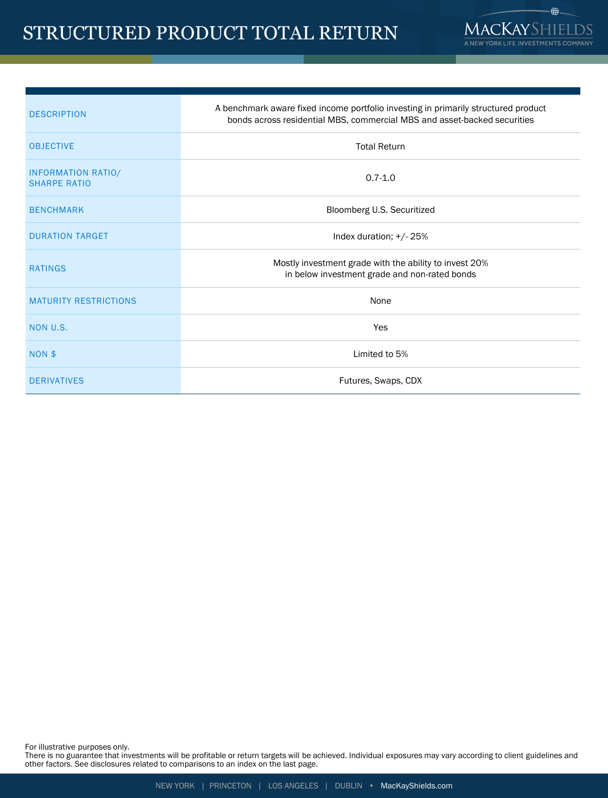# STRUCTURED PRODUCT TOTAL RETURN



| <b>DESCRIPTION</b>                               | A benchmark aware fixed income portfolio investing in primarily structured product<br>bonds across residential MBS, commercial MBS and asset-backed securities |  |  |  |  |  |
|--------------------------------------------------|----------------------------------------------------------------------------------------------------------------------------------------------------------------|--|--|--|--|--|
| <b>OBJECTIVE</b>                                 | <b>Total Return</b>                                                                                                                                            |  |  |  |  |  |
| <b>INFORMATION RATIO/</b><br><b>SHARPE RATIO</b> | $0.7 - 1.0$                                                                                                                                                    |  |  |  |  |  |
| <b>BENCHMARK</b>                                 | Bloomberg U.S. Securitized                                                                                                                                     |  |  |  |  |  |
| <b>DURATION TARGET</b>                           | Index duration; $+/25%$                                                                                                                                        |  |  |  |  |  |
| <b>RATINGS</b>                                   | Mostly investment grade with the ability to invest 20%<br>in below investment grade and non-rated bonds                                                        |  |  |  |  |  |
| <b>MATURITY RESTRICTIONS</b>                     | None                                                                                                                                                           |  |  |  |  |  |
| NON U.S.                                         | Yes                                                                                                                                                            |  |  |  |  |  |
| NON \$                                           | Limited to 5%                                                                                                                                                  |  |  |  |  |  |
| <b>DERIVATIVES</b>                               | Futures, Swaps, CDX                                                                                                                                            |  |  |  |  |  |

For illustrative purposes only.

There is no guarantee that investments will be profitable or return targets will be achieved. Individual exposures may vary according to client guidelines and other factors. See disclosures related to comparisons to an index on the last page.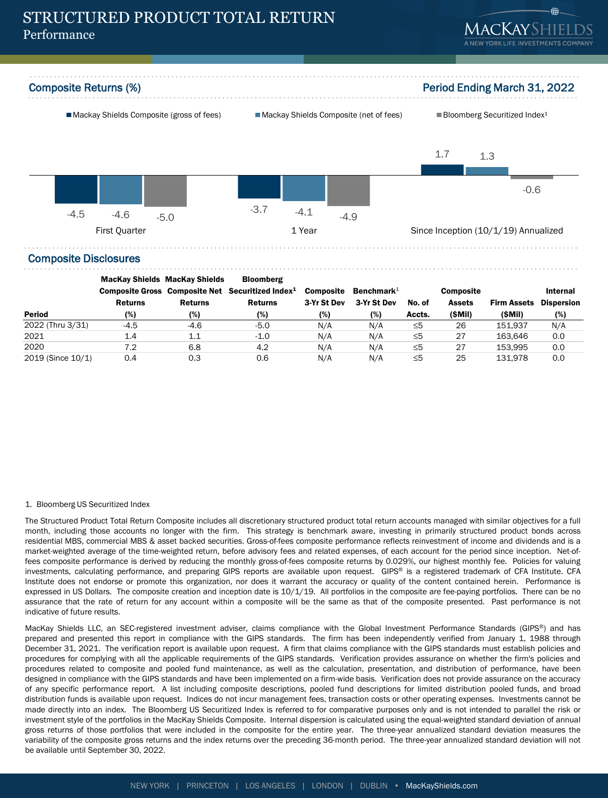

Composite Returns (%) **Period Ending March 31, 2022** 





## Composite Disclosures

|                   | <b>MacKay Shields MacKay Shields</b> |                | <b>Bloomberg</b>                                             |                  |               |          |                  |                    |                   |
|-------------------|--------------------------------------|----------------|--------------------------------------------------------------|------------------|---------------|----------|------------------|--------------------|-------------------|
|                   |                                      |                | Composite Gross Composite Net Securitized Index <sup>1</sup> | <b>Composite</b> | Benchmark $1$ |          | <b>Composite</b> |                    | Internal          |
|                   | <b>Returns</b>                       | <b>Returns</b> | <b>Returns</b>                                               | 3-Yr St Dev      | 3-Yr St Dev   | No. of   | <b>Assets</b>    | <b>Firm Assets</b> | <b>Dispersion</b> |
| <b>Period</b>     | (%)                                  | (%)            | (%)                                                          | (%)              | (%)           | Accts.   | (\$Mil)          | (SMil)             | (%)               |
| 2022 (Thru 3/31)  | $-4.5$                               | $-4.6$         | $-5.0$                                                       | N/A              | N/A           | ≤5       | 26               | 151.937            | N/A               |
| 2021              | 1.4                                  | 1.1            | $-1.0$                                                       | N/A              | N/A           | $\leq 5$ | 27               | 163.646            | 0.0               |
| 2020              | 7.2                                  | 6.8            | 4.2                                                          | N/A              | N/A           | $\leq 5$ | 27               | 153.995            | 0.0               |
| 2019 (Since 10/1) | 0.4                                  | 0.3            | 0.6                                                          | N/A              | N/A           | $\leq 5$ | 25               | 131.978            | 0.0               |

### 1. Bloomberg US Securitized Index

The Structured Product Total Return Composite includes all discretionary structured product total return accounts managed with similar objectives for a full month, including those accounts no longer with the firm. This strategy is benchmark aware, investing in primarily structured product bonds across residential MBS, commercial MBS & asset backed securities. Gross-of-fees composite performance reflects reinvestment of income and dividends and is a market-weighted average of the time-weighted return, before advisory fees and related expenses, of each account for the period since inception. Net-offees composite performance is derived by reducing the monthly gross-of-fees composite returns by 0.029%, our highest monthly fee. Policies for valuing investments, calculating performance, and preparing GIPS reports are available upon request. GIPS® is a registered trademark of CFA Institute. CFA Institute does not endorse or promote this organization, nor does it warrant the accuracy or quality of the content contained herein. Performance is expressed in US Dollars. The composite creation and inception date is 10/1/19. All portfolios in the composite are fee-paying portfolios. There can be no assurance that the rate of return for any account within a composite will be the same as that of the composite presented. Past performance is not indicative of future results.

MacKay Shields LLC, an SEC-registered investment adviser, claims compliance with the Global Investment Performance Standards (GIPS®) and has prepared and presented this report in compliance with the GIPS standards. The firm has been independently verified from January 1, 1988 through December 31, 2021. The verification report is available upon request. A firm that claims compliance with the GIPS standards must establish policies and procedures for complying with all the applicable requirements of the GIPS standards. Verification provides assurance on whether the firm's policies and procedures related to composite and pooled fund maintenance, as well as the calculation, presentation, and distribution of performance, have been designed in compliance with the GIPS standards and have been implemented on a firm-wide basis. Verification does not provide assurance on the accuracy of any specific performance report. A list including composite descriptions, pooled fund descriptions for limited distribution pooled funds, and broad distribution funds is available upon request. Indices do not incur management fees, transaction costs or other operating expenses. Investments cannot be made directly into an index. The Bloomberg US Securitized Index is referred to for comparative purposes only and is not intended to parallel the risk or investment style of the portfolios in the MacKay Shields Composite. Internal dispersion is calculated using the equal-weighted standard deviation of annual gross returns of those portfolios that were included in the composite for the entire year. The three-year annualized standard deviation measures the variability of the composite gross returns and the index returns over the preceding 36-month period. The three-year annualized standard deviation will not be available until September 30, 2022.